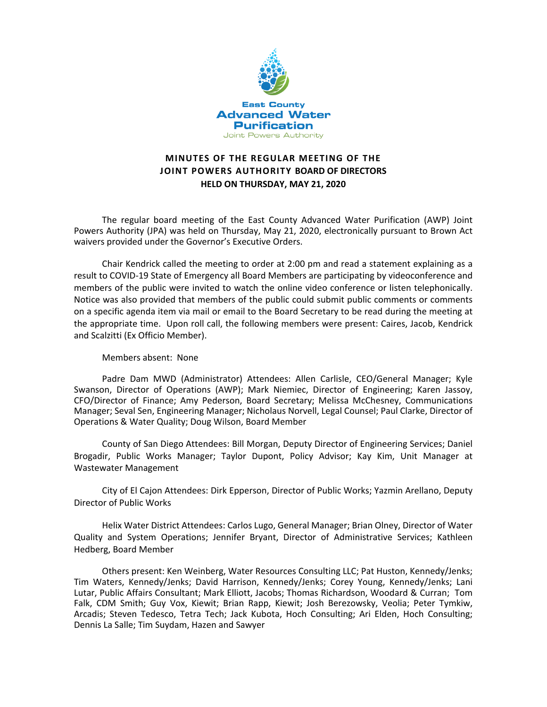

# **MINUTES OF THE REGULAR MEETING OF THE JOINT POWERS AUTHORITY BOARD OF DIRECTORS HELD ON THURSDAY, MAY 21, 2020**

The regular board meeting of the East County Advanced Water Purification (AWP) Joint Powers Authority (JPA) was held on Thursday, May 21, 2020, electronically pursuant to Brown Act waivers provided under the Governor's Executive Orders.

Chair Kendrick called the meeting to order at 2:00 pm and read a statement explaining as a result to COVID-19 State of Emergency all Board Members are participating by videoconference and members of the public were invited to watch the online video conference or listen telephonically. Notice was also provided that members of the public could submit public comments or comments on a specific agenda item via mail or email to the Board Secretary to be read during the meeting at the appropriate time. Upon roll call, the following members were present: Caires, Jacob, Kendrick and Scalzitti (Ex Officio Member).

#### Members absent: None

Padre Dam MWD (Administrator) Attendees: Allen Carlisle, CEO/General Manager; Kyle Swanson, Director of Operations (AWP); Mark Niemiec, Director of Engineering; Karen Jassoy, CFO/Director of Finance; Amy Pederson, Board Secretary; Melissa McChesney, Communications Manager; Seval Sen, Engineering Manager; Nicholaus Norvell, Legal Counsel; Paul Clarke, Director of Operations & Water Quality; Doug Wilson, Board Member

County of San Diego Attendees: Bill Morgan, Deputy Director of Engineering Services; Daniel Brogadir, Public Works Manager; Taylor Dupont, Policy Advisor; Kay Kim, Unit Manager at Wastewater Management

City of El Cajon Attendees: Dirk Epperson, Director of Public Works; Yazmin Arellano, Deputy Director of Public Works

Helix Water District Attendees: Carlos Lugo, General Manager; Brian Olney, Director of Water Quality and System Operations; Jennifer Bryant, Director of Administrative Services; Kathleen Hedberg, Board Member

Others present: Ken Weinberg, Water Resources Consulting LLC; Pat Huston, Kennedy/Jenks; Tim Waters, Kennedy/Jenks; David Harrison, Kennedy/Jenks; Corey Young, Kennedy/Jenks; Lani Lutar, Public Affairs Consultant; Mark Elliott, Jacobs; Thomas Richardson, Woodard & Curran; Tom Falk, CDM Smith; Guy Vox, Kiewit; Brian Rapp, Kiewit; Josh Berezowsky, Veolia; Peter Tymkiw, Arcadis; Steven Tedesco, Tetra Tech; Jack Kubota, Hoch Consulting; Ari Elden, Hoch Consulting; Dennis La Salle; Tim Suydam, Hazen and Sawyer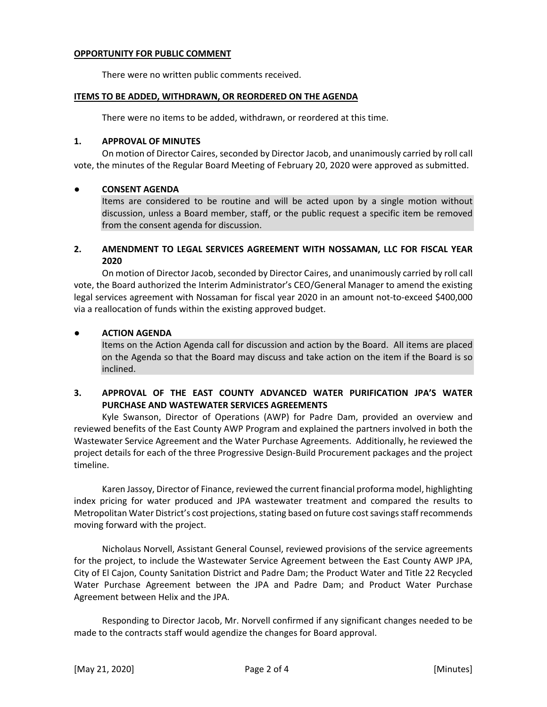### **OPPORTUNITY FOR PUBLIC COMMENT**

There were no written public comments received.

### **ITEMS TO BE ADDED, WITHDRAWN, OR REORDERED ON THE AGENDA**

There were no items to be added, withdrawn, or reordered at this time.

### **1. APPROVAL OF MINUTES**

On motion of Director Caires, seconded by Director Jacob, and unanimously carried by roll call vote, the minutes of the Regular Board Meeting of February 20, 2020 were approved as submitted.

## **● CONSENT AGENDA**

Items are considered to be routine and will be acted upon by a single motion without discussion, unless a Board member, staff, or the public request a specific item be removed from the consent agenda for discussion.

## **2. AMENDMENT TO LEGAL SERVICES AGREEMENT WITH NOSSAMAN, LLC FOR FISCAL YEAR 2020**

On motion of Director Jacob, seconded by Director Caires, and unanimously carried by roll call vote, the Board authorized the Interim Administrator's CEO/General Manager to amend the existing legal services agreement with Nossaman for fiscal year 2020 in an amount not-to-exceed \$400,000 via a reallocation of funds within the existing approved budget.

## **● ACTION AGENDA**

Items on the Action Agenda call for discussion and action by the Board. All items are placed on the Agenda so that the Board may discuss and take action on the item if the Board is so inclined.

# **3. APPROVAL OF THE EAST COUNTY ADVANCED WATER PURIFICATION JPA'S WATER PURCHASE AND WASTEWATER SERVICES AGREEMENTS**

Kyle Swanson, Director of Operations (AWP) for Padre Dam, provided an overview and reviewed benefits of the East County AWP Program and explained the partners involved in both the Wastewater Service Agreement and the Water Purchase Agreements. Additionally, he reviewed the project details for each of the three Progressive Design-Build Procurement packages and the project timeline.

Karen Jassoy, Director of Finance, reviewed the current financial proforma model, highlighting index pricing for water produced and JPA wastewater treatment and compared the results to Metropolitan Water District's cost projections, stating based on future cost savings staff recommends moving forward with the project.

Nicholaus Norvell, Assistant General Counsel, reviewed provisions of the service agreements for the project, to include the Wastewater Service Agreement between the East County AWP JPA, City of El Cajon, County Sanitation District and Padre Dam; the Product Water and Title 22 Recycled Water Purchase Agreement between the JPA and Padre Dam; and Product Water Purchase Agreement between Helix and the JPA.

Responding to Director Jacob, Mr. Norvell confirmed if any significant changes needed to be made to the contracts staff would agendize the changes for Board approval.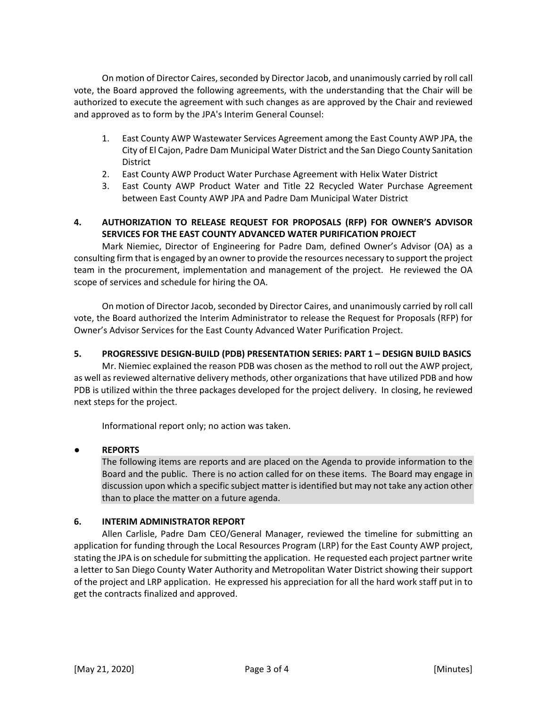On motion of Director Caires, seconded by Director Jacob, and unanimously carried by roll call vote, the Board approved the following agreements, with the understanding that the Chair will be authorized to execute the agreement with such changes as are approved by the Chair and reviewed and approved as to form by the JPA's Interim General Counsel:

- 1. East County AWP Wastewater Services Agreement among the East County AWP JPA, the City of El Cajon, Padre Dam Municipal Water District and the San Diego County Sanitation District
- 2. East County AWP Product Water Purchase Agreement with Helix Water District
- 3. East County AWP Product Water and Title 22 Recycled Water Purchase Agreement between East County AWP JPA and Padre Dam Municipal Water District

# **4. AUTHORIZATION TO RELEASE REQUEST FOR PROPOSALS (RFP) FOR OWNER'S ADVISOR SERVICES FOR THE EAST COUNTY ADVANCED WATER PURIFICATION PROJECT**

Mark Niemiec, Director of Engineering for Padre Dam, defined Owner's Advisor (OA) as a consulting firm that is engaged by an owner to provide the resources necessary to support the project team in the procurement, implementation and management of the project. He reviewed the OA scope of services and schedule for hiring the OA.

On motion of Director Jacob, seconded by Director Caires, and unanimously carried by roll call vote, the Board authorized the Interim Administrator to release the Request for Proposals (RFP) for Owner's Advisor Services for the East County Advanced Water Purification Project.

## **5. PROGRESSIVE DESIGN-BUILD (PDB) PRESENTATION SERIES: PART 1 – DESIGN BUILD BASICS**

Mr. Niemiec explained the reason PDB was chosen as the method to roll out the AWP project, as well as reviewed alternative delivery methods, other organizations that have utilized PDB and how PDB is utilized within the three packages developed for the project delivery. In closing, he reviewed next steps for the project.

Informational report only; no action was taken.

## **● REPORTS**

The following items are reports and are placed on the Agenda to provide information to the Board and the public. There is no action called for on these items. The Board may engage in discussion upon which a specific subject matter is identified but may not take any action other than to place the matter on a future agenda.

## **6. INTERIM ADMINISTRATOR REPORT**

Allen Carlisle, Padre Dam CEO/General Manager, reviewed the timeline for submitting an application for funding through the Local Resources Program (LRP) for the East County AWP project, stating the JPA is on schedule for submitting the application. He requested each project partner write a letter to San Diego County Water Authority and Metropolitan Water District showing their support of the project and LRP application. He expressed his appreciation for all the hard work staff put in to get the contracts finalized and approved.